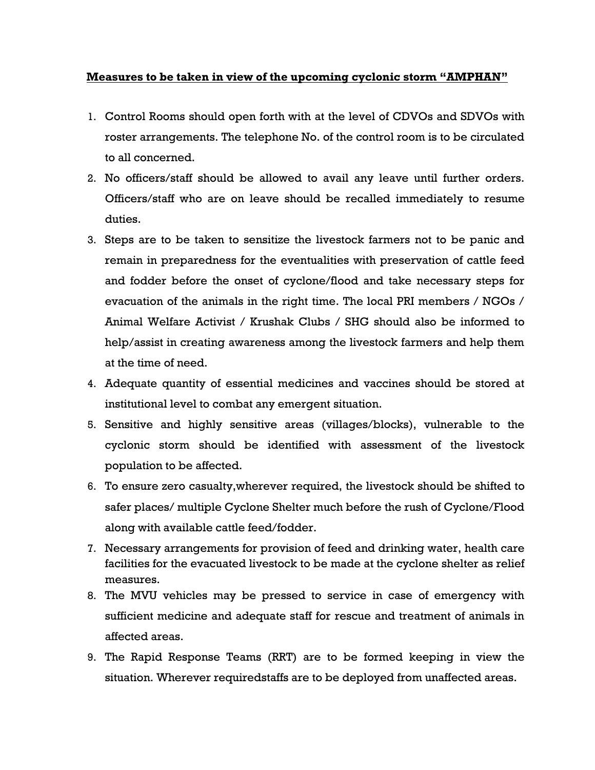## **Measures to be taken in view of the upcoming cyclonic storm "AMPHAN"**

- 1. Control Rooms should open forth with at the level of CDVOs and SDVOs with roster arrangements. The telephone No. of the control room is to be circulated to all concerned.
- 2. No officers/staff should be allowed to avail any leave until further orders. Officers/staff who are on leave should be recalled immediately to resume duties.
- 3. Steps are to be taken to sensitize the livestock farmers not to be panic and remain in preparedness for the eventualities with preservation of cattle feed and fodder before the onset of cyclone/flood and take necessary steps for evacuation of the animals in the right time. The local PRI members / NGOs / Animal Welfare Activist / Krushak Clubs / SHG should also be informed to help/assist in creating awareness among the livestock farmers and help them at the time of need.
- 4. Adequate quantity of essential medicines and vaccines should be stored at institutional level to combat any emergent situation.
- 5. Sensitive and highly sensitive areas (villages/blocks), vulnerable to the cyclonic storm should be identified with assessment of the livestock population to be affected.
- 6. To ensure zero casualty,wherever required, the livestock should be shifted to safer places/ multiple Cyclone Shelter much before the rush of Cyclone/Flood along with available cattle feed/fodder.
- 7. Necessary arrangements for provision of feed and drinking water, health care facilities for the evacuated livestock to be made at the cyclone shelter as relief measures.
- 8. The MVU vehicles may be pressed to service in case of emergency with sufficient medicine and adequate staff for rescue and treatment of animals in affected areas.
- 9. The Rapid Response Teams (RRT) are to be formed keeping in view the situation. Wherever requiredstaffs are to be deployed from unaffected areas.